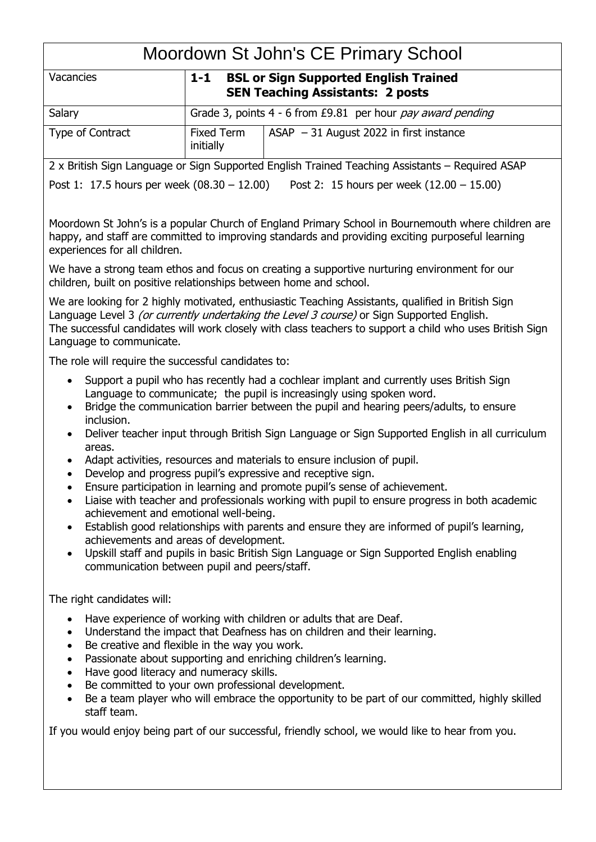| Moordown St John's CE Primary School |
|--------------------------------------|
|--------------------------------------|

| <b>TYROUGOWIT OF OOITILG OLD TITTIOLY OOITOOI</b>                                                                                                                                                                                                                                                                                       |                                                                                         |                                                                                         |  |  |
|-----------------------------------------------------------------------------------------------------------------------------------------------------------------------------------------------------------------------------------------------------------------------------------------------------------------------------------------|-----------------------------------------------------------------------------------------|-----------------------------------------------------------------------------------------|--|--|
| <b>Vacancies</b>                                                                                                                                                                                                                                                                                                                        | $1-1$                                                                                   | <b>BSL or Sign Supported English Trained</b><br><b>SEN Teaching Assistants: 2 posts</b> |  |  |
| Salary                                                                                                                                                                                                                                                                                                                                  | Grade 3, points 4 - 6 from £9.81 per hour pay award pending                             |                                                                                         |  |  |
| Type of Contract                                                                                                                                                                                                                                                                                                                        | Fixed Term<br>initially                                                                 | $ASAP - 31$ August 2022 in first instance                                               |  |  |
| 2 x British Sign Language or Sign Supported English Trained Teaching Assistants – Required ASAP                                                                                                                                                                                                                                         |                                                                                         |                                                                                         |  |  |
| Post 1: 17.5 hours per week $(08.30 - 12.00)$ Post 2: 15 hours per week $(12.00 - 15.00)$                                                                                                                                                                                                                                               |                                                                                         |                                                                                         |  |  |
|                                                                                                                                                                                                                                                                                                                                         |                                                                                         |                                                                                         |  |  |
| Moordown St John's is a popular Church of England Primary School in Bournemouth where children are<br>happy, and staff are committed to improving standards and providing exciting purposeful learning<br>experiences for all children.                                                                                                 |                                                                                         |                                                                                         |  |  |
| We have a strong team ethos and focus on creating a supportive nurturing environment for our<br>children, built on positive relationships between home and school.                                                                                                                                                                      |                                                                                         |                                                                                         |  |  |
| We are looking for 2 highly motivated, enthusiastic Teaching Assistants, qualified in British Sign<br>Language Level 3 (or currently undertaking the Level 3 course) or Sign Supported English.<br>The successful candidates will work closely with class teachers to support a child who uses British Sign<br>Language to communicate. |                                                                                         |                                                                                         |  |  |
| The role will require the successful candidates to:                                                                                                                                                                                                                                                                                     |                                                                                         |                                                                                         |  |  |
|                                                                                                                                                                                                                                                                                                                                         | Support a pupil who has recently had a cochlear implant and currently uses British Sign |                                                                                         |  |  |

- Language to communicate; the pupil is increasingly using spoken word. • Bridge the communication barrier between the pupil and hearing peers/adults, to ensure inclusion.
- Deliver teacher input through British Sign Language or Sign Supported English in all curriculum areas.
- Adapt activities, resources and materials to ensure inclusion of pupil.
- Develop and progress pupil's expressive and receptive sign.
- Ensure participation in learning and promote pupil's sense of achievement.
- Liaise with teacher and professionals working with pupil to ensure progress in both academic achievement and emotional well-being.
- Establish good relationships with parents and ensure they are informed of pupil's learning, achievements and areas of development.
- Upskill staff and pupils in basic British Sign Language or Sign Supported English enabling communication between pupil and peers/staff.

The right candidates will:

- Have experience of working with children or adults that are Deaf.
- Understand the impact that Deafness has on children and their learning.
- Be creative and flexible in the way you work.
- Passionate about supporting and enriching children's learning.
- Have good literacy and numeracy skills.
- Be committed to your own professional development.
- Be a team player who will embrace the opportunity to be part of our committed, highly skilled staff team.

If you would enjoy being part of our successful, friendly school, we would like to hear from you.